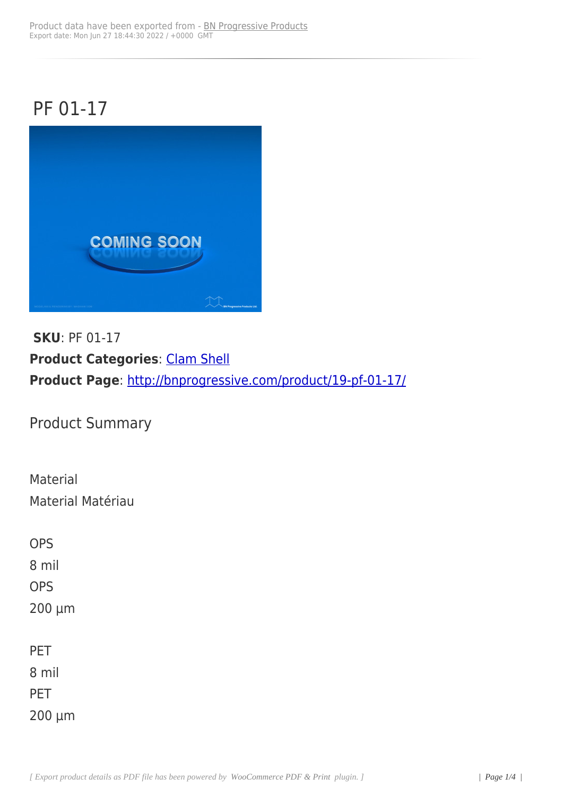## PF 01-17



**SKU**: PF 01-17 **Product Categories: Clam Shell Product Page**: http://bnprogressive.com/product/19-pf-01-17/

Product Sum[mary](http://bnprogressive.com/product/19-pf-01-17/)

| Material          |
|-------------------|
| Material Matériau |
|                   |
| <b>OPS</b>        |
| 8 mil             |
| <b>OPS</b>        |
| $200 \mu m$       |
|                   |
| <b>PET</b>        |
| 8 mil             |
| PET               |
| $200 \mu m$       |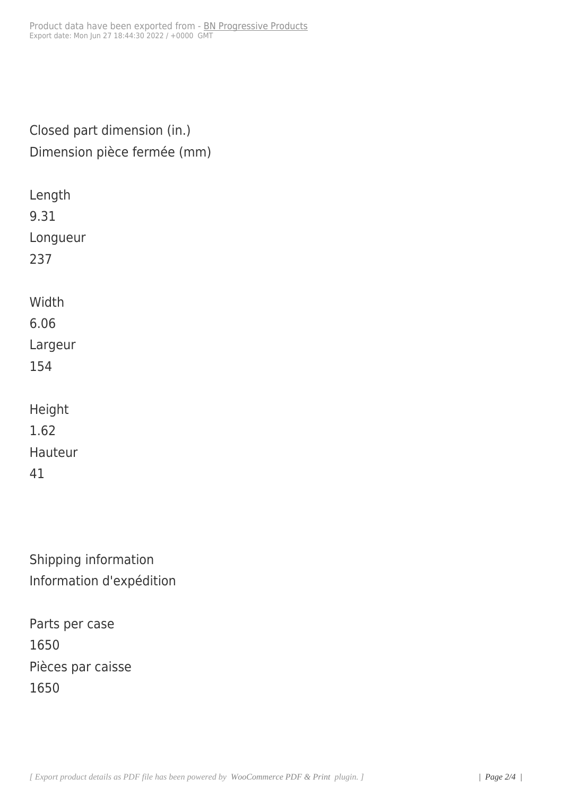| Closed part dimension (in.) |
|-----------------------------|
| Dimension pièce fermée (mm) |
|                             |
| Length                      |
| 9.31                        |
| Longueur                    |
| 237                         |
|                             |
| Width                       |
| 6.06                        |
| Largeur                     |
| 154                         |
|                             |
| Height                      |
| 1.62                        |
| Hauteur                     |
| 41                          |
|                             |
|                             |
| Shipping information        |
| Information d'expédition    |
|                             |

Parts per case 1650 Pièces par caisse 1650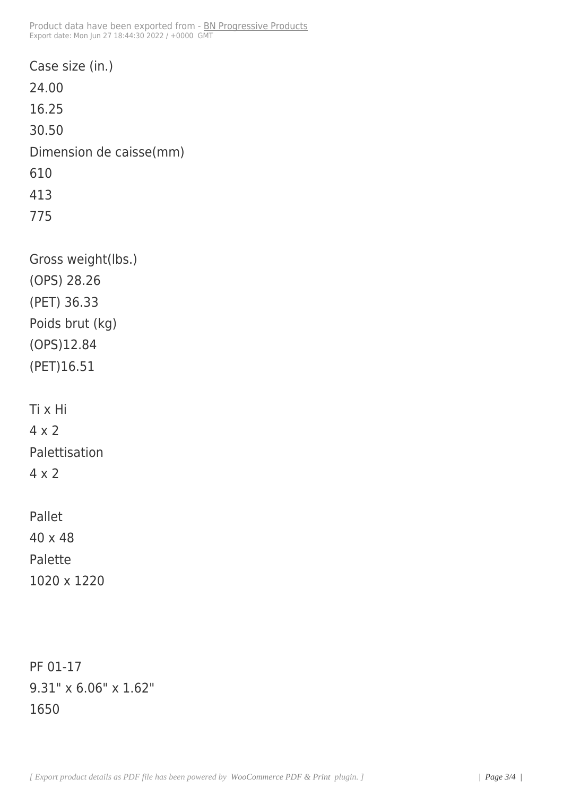Case size (in.) 24.00 16.25 30.50 Dimension de caisse(mm) 610 413 775 Gross weight(lbs.) (OPS) 28.26 (PET) 36.33 Poids brut (kg) (OPS)12.84 (PET)16.51 Ti x Hi 4 x 2 Palettisation 4 x 2 Pallet 40 x 48 Palette 1020 x 1220 PF 01-17

9.31" x 6.06" x 1.62" 1650